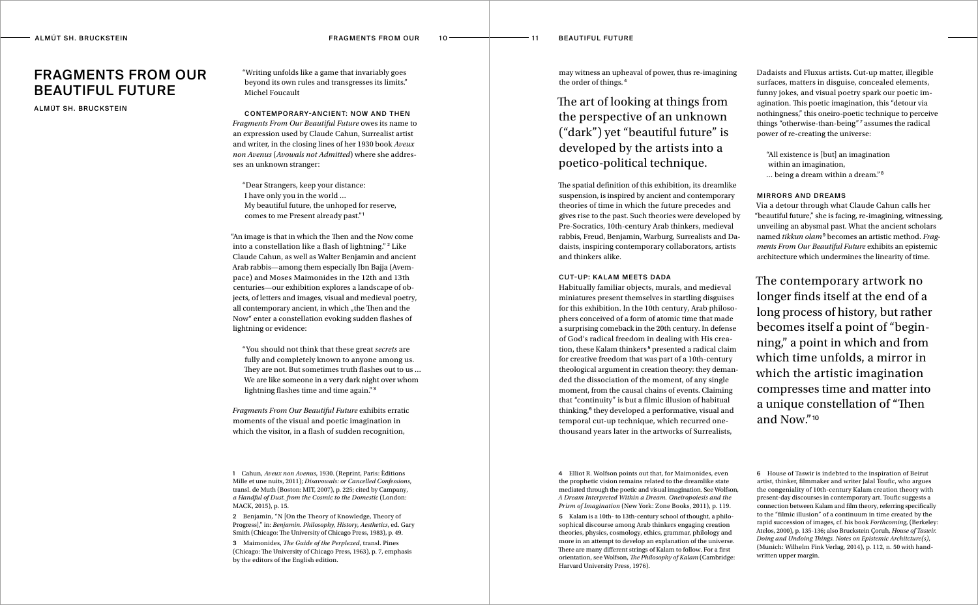4 Elliot R. Wolfson points out that, for Maimonides, even the prophetic vision remains related to the dreamlike state mediated through the poetic and visual imagination. See Wolfson, *A Dream Interpreted Within a Dream. Oneiropoiesis and the Prism of Imagination* (New York: Zone Books, 2011), p. 119.

5 Kalam is a 10th- to 13th-century school of thought, a philosophical discourse among Arab thinkers engaging creation theories, physics, cosmology, ethics, grammar, philology and more in an attempt to develop an explanation of the universe. There are many different strings of Kalam to follow. For a first orientation, see Wolfson, *The Philosophy of Kalam* (Cambridge: Harvard University Press, 1976).

1 Cahun, *Aveux non Avenus*, 1930. (Reprint, Paris: Èditions Mille et une nuits, 2011); *Disavowals: or Cancelled Confessions*, transl. de Muth (Boston: MIT, 2007), p. 225; cited by Campany, *a Handful of Dust. from the Cosmic to the Domestic* (London: MACK, 2015), p. 15.

2 Benjamin, "N [On the Theory of Knowledge, Theory of Progress]," in: *Benjamin. Philosophy, History, Aesthetics*, ed. Gary Smith (Chicago: The University of Chicago Press, 1983), p. 49.

"You should not think that these great *secrets* are fully and completely known to anyone among us. They are not. But sometimes truth flashes out to us … We are like someone in a very dark night over whom lightning flashes time and time again."<sup>3</sup>

3 Maimonides, *The Guide of the Perplexed*, transl. Pines (Chicago: The University of Chicago Press, 1963), p. 7, emphasis by the editors of the English edition.

"Writing unfolds like a game that invariably goes beyond its own rules and transgresses its limits." Michel Foucault

Contemporary-Ancient: Now and Then *Fragments From Our Beautiful Future* owes its name to an expression used by Claude Cahun, Surrealist artist and writer, in the closing lines of her 1930 book *Aveux non Avenus* (*Avowals not Admitted*) where she addresses an unknown stranger:

"Dear Strangers, keep your distance: I have only you in the world … My beautiful future, the unhoped for reserve, comes to me Present already past."<sup>1</sup>

"An image is that in which the Then and the Now come into a constellation like a flash of lightning." <sup>2</sup> Like Claude Cahun, as well as Walter Benjamin and ancient Arab rabbis—among them especially Ibn Bajja (Avempace) and Moses Maimonides in the 12th and 13th centuries—our exhibition explores a landscape of objects, of letters and images, visual and medieval poetry, all contemporary ancient, in which "the Then and the Now" enter a constellation evoking sudden flashes of lightning or evidence:

*Fragments From Our Beautiful Future* exhibits erratic moments of the visual and poetic imagination in which the visitor, in a flash of sudden recognition,

may witness an upheaval of power, thus re-imagining the order of things. <sup>4</sup>

The art of looking at things from the perspective of an unknown ("dark") yet "beautiful future" is developed by the artists into a poetico-political technique.

The spatial definition of this exhibition, its dreamlike suspension, is inspired by ancient and contemporary theories of time in which the future precedes and gives rise to the past. Such theories were developed by Pre-Socratics, 10th-century Arab thinkers, medieval rabbis, Freud, Benjamin, Warburg, Surrealists and Dadaists, inspiring contemporary collaborators, artists and thinkers alike.

## **CUT-UP: KALAM MEETS DADA**

Habitually familiar objects, murals, and medieval miniatures present themselves in startling disguises for this exhibition. In the 10th century, Arab philosophers conceived of a form of atomic time that made a surprising comeback in the 20th century. In defense of God's radical freedom in dealing with His creation, these Kalam thinkers<sup>5</sup> presented a radical claim for creative freedom that was part of a 10th-century theological argument in creation theory: they demanded the dissociation of the moment, of any single moment, from the causal chains of events. Claiming that "continuity" is but a filmic illusion of habitual thinking,<sup>6</sup> they developed a performative, visual and temporal cut-up technique, which recurred onethousand years later in the artworks of Surrealists,

Dadaists and Fluxus artists. Cut-up matter, illegible surfaces, matters in disguise, concealed elements, funny jokes, and visual poetry spark our poetic imagination. This poetic imagination, this "detour via nothingness," this oneiro-poetic technique to perceive things "otherwise-than-being" <sup>7</sup> assumes the radical power of re-creating the universe:

"All existence is [but] an imagination within an imagination, … being a dream within a dream." <sup>8</sup>

### Mirrors and Dreams

Via a detour through what Claude Cahun calls her "beautiful future," she is facing, re-imagining, witnessing, unveiling an abysmal past. What the ancient scholars named *tikkun olam*9 becomes an artistic method. *Fragments From Our Beautiful Future* exhibits an epistemic architecture which undermines the linearity of time.

The contemporary artwork no longer finds itself at the end of a long process of history, but rather becomes itself a point of "beginning," a point in which and from which time unfolds, a mirror in which the artistic imagination compresses time and matter into a unique constellation of "Then and Now."<sup>10</sup>

# Fragments From Our Beautiful Future

ALMÚT SH. BRUCKSTEIN

<sup>6</sup> House of Taswir is indebted to the inspiration of Beirut artist, thinker, filmmaker and writer Jalal Toufic, who argues the congeniality of 10th-century Kalam creation theory with present-day discourses in contemporary art. Toufic suggests a connection between Kalam and film theory, referring specifically to the "filmic illusion" of a continuum in time created by the rapid succession of images, cf. his book *Forthcoming*, (Berkeley: Atelos, 2000), p. 135-136; also Bruckstein Çoruh, *House of Taswir. Doing and Undoing Things. Notes on Epistemic Architcture(s)*, (Munich: Wilhelm Fink Verlag, 2014), p. 112, n. 50 with handwritten upper margin.